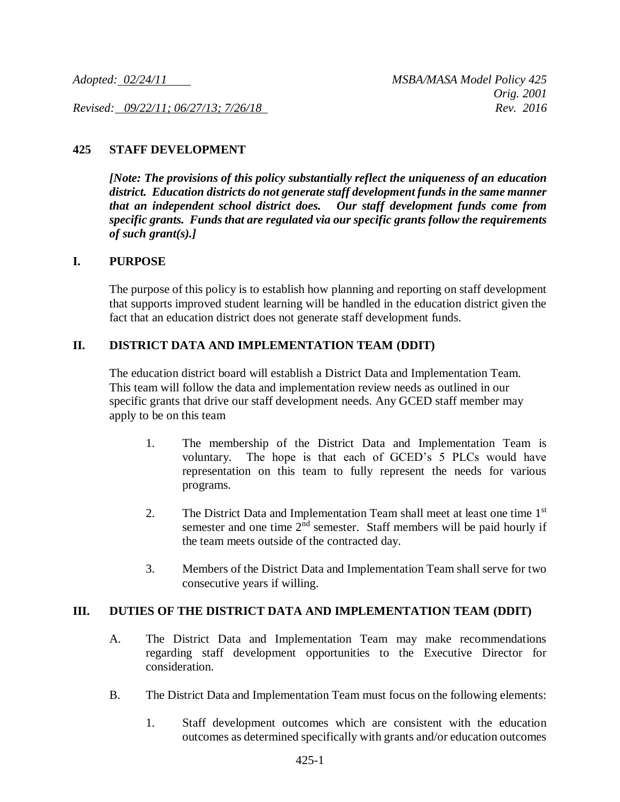*Revised: 09/22/11; 06/27/13; 7/26/18 Rev. 2016*

# **425 STAFF DEVELOPMENT**

*[Note: The provisions of this policy substantially reflect the uniqueness of an education district. Education districts do not generate staff development funds in the same manner that an independent school district does. Our staff development funds come from specific grants. Funds that are regulated via our specific grants follow the requirements of such grant(s).]*

#### **I. PURPOSE**

The purpose of this policy is to establish how planning and reporting on staff development that supports improved student learning will be handled in the education district given the fact that an education district does not generate staff development funds.

## **II. DISTRICT DATA AND IMPLEMENTATION TEAM (DDIT)**

The education district board will establish a District Data and Implementation Team. This team will follow the data and implementation review needs as outlined in our specific grants that drive our staff development needs. Any GCED staff member may apply to be on this team

- 1. The membership of the District Data and Implementation Team is voluntary. The hope is that each of GCED's 5 PLCs would have representation on this team to fully represent the needs for various programs.
- 2. The District Data and Implementation Team shall meet at least one time 1<sup>st</sup> semester and one time  $2<sup>nd</sup>$  semester. Staff members will be paid hourly if the team meets outside of the contracted day.
- 3. Members of the District Data and Implementation Team shall serve for two consecutive years if willing.

### **III. DUTIES OF THE DISTRICT DATA AND IMPLEMENTATION TEAM (DDIT)**

- A. The District Data and Implementation Team may make recommendations regarding staff development opportunities to the Executive Director for consideration.
- B. The District Data and Implementation Team must focus on the following elements:
	- 1. Staff development outcomes which are consistent with the education outcomes as determined specifically with grants and/or education outcomes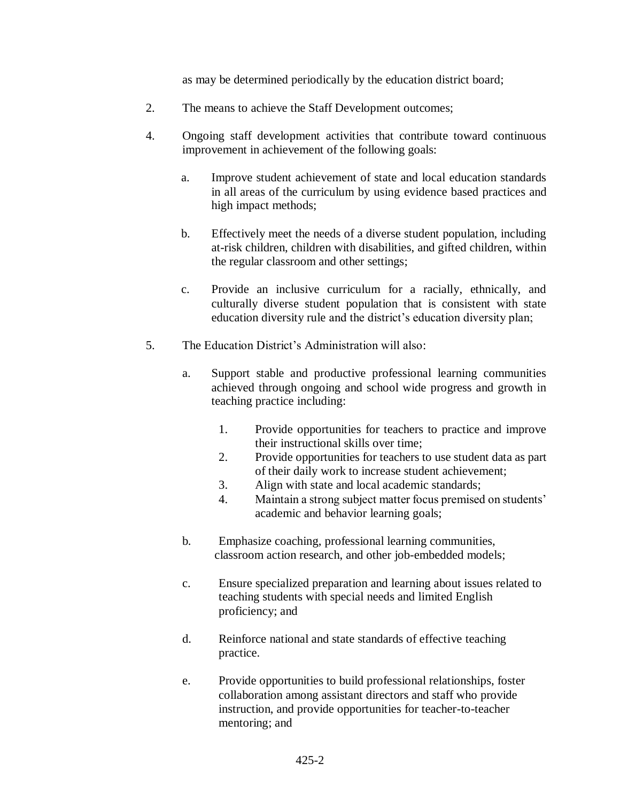as may be determined periodically by the education district board;

- 2. The means to achieve the Staff Development outcomes;
- 4. Ongoing staff development activities that contribute toward continuous improvement in achievement of the following goals:
	- a. Improve student achievement of state and local education standards in all areas of the curriculum by using evidence based practices and high impact methods;
	- b. Effectively meet the needs of a diverse student population, including at-risk children, children with disabilities, and gifted children, within the regular classroom and other settings;
	- c. Provide an inclusive curriculum for a racially, ethnically, and culturally diverse student population that is consistent with state education diversity rule and the district's education diversity plan;
- 5. The Education District's Administration will also:
	- a. Support stable and productive professional learning communities achieved through ongoing and school wide progress and growth in teaching practice including:
		- 1. Provide opportunities for teachers to practice and improve their instructional skills over time;
		- 2. Provide opportunities for teachers to use student data as part of their daily work to increase student achievement;
		- 3. Align with state and local academic standards;
		- 4. Maintain a strong subject matter focus premised on students' academic and behavior learning goals;
	- b. Emphasize coaching, professional learning communities, classroom action research, and other job-embedded models;
	- c. Ensure specialized preparation and learning about issues related to teaching students with special needs and limited English proficiency; and
	- d. Reinforce national and state standards of effective teaching practice.
	- e. Provide opportunities to build professional relationships, foster collaboration among assistant directors and staff who provide instruction, and provide opportunities for teacher-to-teacher mentoring; and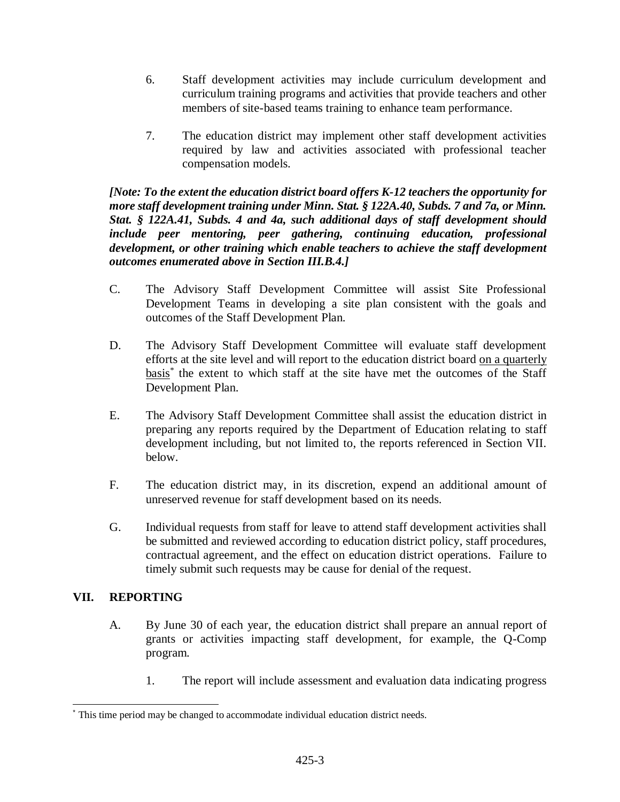- 6. Staff development activities may include curriculum development and curriculum training programs and activities that provide teachers and other members of site-based teams training to enhance team performance.
- 7. The education district may implement other staff development activities required by law and activities associated with professional teacher compensation models.

*[Note: To the extent the education district board offers K-12 teachers the opportunity for more staff development training under Minn. Stat. § 122A.40, Subds. 7 and 7a, or Minn. Stat. § 122A.41, Subds. 4 and 4a, such additional days of staff development should include peer mentoring, peer gathering, continuing education, professional development, or other training which enable teachers to achieve the staff development outcomes enumerated above in Section III.B.4.]*

- C. The Advisory Staff Development Committee will assist Site Professional Development Teams in developing a site plan consistent with the goals and outcomes of the Staff Development Plan.
- D. The Advisory Staff Development Committee will evaluate staff development efforts at the site level and will report to the education district board on a quarterly basis<sup>\*</sup> the extent to which staff at the site have met the outcomes of the Staff Development Plan.
- E. The Advisory Staff Development Committee shall assist the education district in preparing any reports required by the Department of Education relating to staff development including, but not limited to, the reports referenced in Section VII. below.
- F. The education district may, in its discretion, expend an additional amount of unreserved revenue for staff development based on its needs.
- G. Individual requests from staff for leave to attend staff development activities shall be submitted and reviewed according to education district policy, staff procedures, contractual agreement, and the effect on education district operations. Failure to timely submit such requests may be cause for denial of the request.

# **VII. REPORTING**

l

- A. By June 30 of each year, the education district shall prepare an annual report of grants or activities impacting staff development, for example, the Q-Comp program.
	- 1. The report will include assessment and evaluation data indicating progress

This time period may be changed to accommodate individual education district needs.